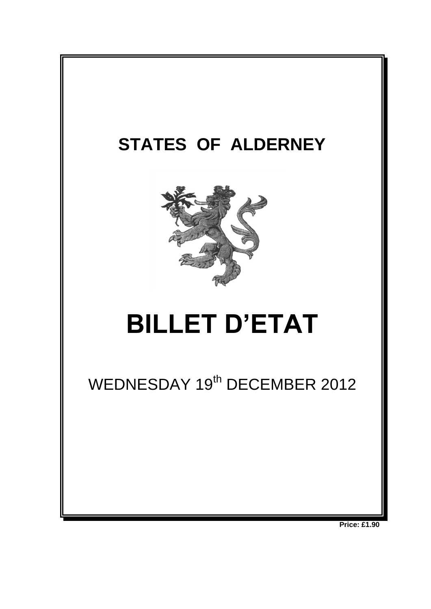

**Price: £1.90**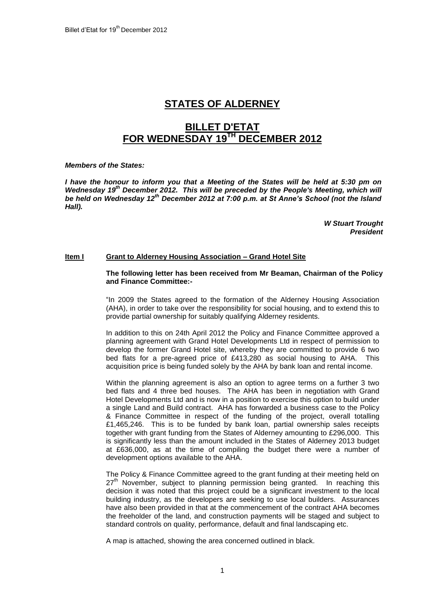# **STATES OF ALDERNEY**

# **BILLET D'ETAT FOR WEDNESDAY 19TH DECEMBER 2012**

*Members of the States:*

*I have the honour to inform you that a Meeting of the States will be held at 5:30 pm on Wednesday 19th December 2012. This will be preceded by the People's Meeting, which will be held on Wednesday 12 th December 2012 at 7:00 p.m. at St Anne's School (not the Island Hall).*

> *W Stuart Trought President*

## **Item I Grant to Alderney Housing Association – Grand Hotel Site**

#### **The following letter has been received from Mr Beaman, Chairman of the Policy and Finance Committee:-**

"In 2009 the States agreed to the formation of the Alderney Housing Association (AHA), in order to take over the responsibility for social housing, and to extend this to provide partial ownership for suitably qualifying Alderney residents.

In addition to this on 24th April 2012 the Policy and Finance Committee approved a planning agreement with Grand Hotel Developments Ltd in respect of permission to develop the former Grand Hotel site, whereby they are committed to provide 6 two bed flats for a pre-agreed price of £413,280 as social housing to AHA. This acquisition price is being funded solely by the AHA by bank loan and rental income.

Within the planning agreement is also an option to agree terms on a further 3 two bed flats and 4 three bed houses. The AHA has been in negotiation with Grand Hotel Developments Ltd and is now in a position to exercise this option to build under a single Land and Build contract. AHA has forwarded a business case to the Policy & Finance Committee in respect of the funding of the project, overall totalling £1,465,246. This is to be funded by bank loan, partial ownership sales receipts together with grant funding from the States of Alderney amounting to £296,000. This is significantly less than the amount included in the States of Alderney 2013 budget at £636,000, as at the time of compiling the budget there were a number of development options available to the AHA.

The Policy & Finance Committee agreed to the grant funding at their meeting held on  $27<sup>th</sup>$  November, subject to planning permission being granted. In reaching this decision it was noted that this project could be a significant investment to the local building industry, as the developers are seeking to use local builders. Assurances have also been provided in that at the commencement of the contract AHA becomes the freeholder of the land, and construction payments will be staged and subject to standard controls on quality, performance, default and final landscaping etc.

A map is attached, showing the area concerned outlined in black.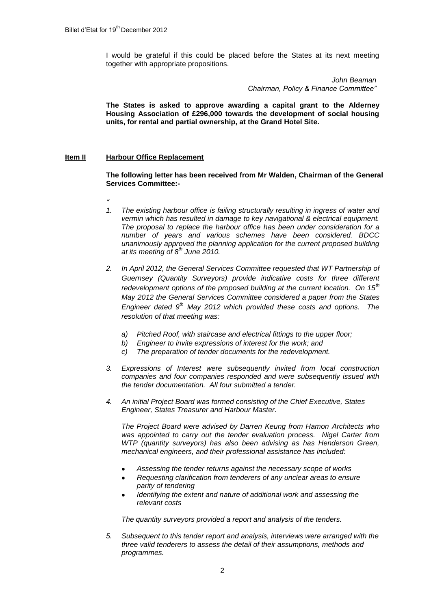I would be grateful if this could be placed before the States at its next meeting together with appropriate propositions.

> *John Beaman Chairman, Policy & Finance Committee"*

**The States is asked to approve awarding a capital grant to the Alderney Housing Association of £296,000 towards the development of social housing units, for rental and partial ownership, at the Grand Hotel Site.**

#### **Item II Harbour Office Replacement**

**The following letter has been received from Mr Walden, Chairman of the General Services Committee:-**

- *"*
- *1. The existing harbour office is failing structurally resulting in ingress of water and vermin which has resulted in damage to key navigational & electrical equipment. The proposal to replace the harbour office has been under consideration for a number of years and various schemes have been considered. BDCC unanimously approved the planning application for the current proposed building at its meeting of 8th June 2010.*
- *2. In April 2012, the General Services Committee requested that WT Partnership of Guernsey (Quantity Surveyors) provide indicative costs for three different redevelopment options of the proposed building at the current location. On 15th May 2012 the General Services Committee considered a paper from the States Engineer dated 9th May 2012 which provided these costs and options. The resolution of that meeting was:*
	- *a) Pitched Roof, with staircase and electrical fittings to the upper floor;*
	- *b) Engineer to invite expressions of interest for the work; and*
	- *c) The preparation of tender documents for the redevelopment.*
- *3. Expressions of Interest were subsequently invited from local construction companies and four companies responded and were subsequently issued with the tender documentation. All four submitted a tender.*
- *4. An initial Project Board was formed consisting of the Chief Executive, States Engineer, States Treasurer and Harbour Master.*

*The Project Board were advised by Darren Keung from Hamon Architects who was appointed to carry out the tender evaluation process. Nigel Carter from WTP (quantity surveyors) has also been advising as has Henderson Green, mechanical engineers, and their professional assistance has included:*

- *Assessing the tender returns against the necessary scope of works*
- *Requesting clarification from tenderers of any unclear areas to ensure parity of tendering*
- *Identifying the extent and nature of additional work and assessing the relevant costs*

*The quantity surveyors provided a report and analysis of the tenders.*

*5. Subsequent to this tender report and analysis, interviews were arranged with the three valid tenderers to assess the detail of their assumptions, methods and programmes.*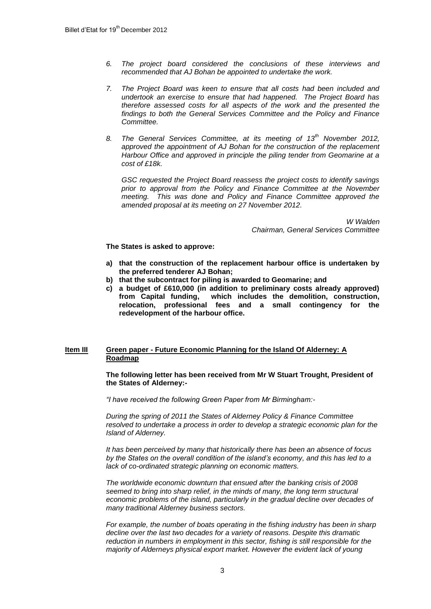- *6. The project board considered the conclusions of these interviews and recommended that AJ Bohan be appointed to undertake the work.*
- *7. The Project Board was keen to ensure that all costs had been included and undertook an exercise to ensure that had happened. The Project Board has therefore assessed costs for all aspects of the work and the presented the findings to both the General Services Committee and the Policy and Finance Committee.*
- *8. The General Services Committee, at its meeting of 13th November 2012, approved the appointment of AJ Bohan for the construction of the replacement Harbour Office and approved in principle the piling tender from Geomarine at a cost of £18k.*

*GSC requested the Project Board reassess the project costs to identify savings prior to approval from the Policy and Finance Committee at the November meeting. This was done and Policy and Finance Committee approved the amended proposal at its meeting on 27 November 2012.*

> *W Walden Chairman, General Services Committee*

#### **The States is asked to approve:**

- **a) that the construction of the replacement harbour office is undertaken by the preferred tenderer AJ Bohan;**
- **b) that the subcontract for piling is awarded to Geomarine; and**
- **c) a budget of £610,000 (in addition to preliminary costs already approved) from Capital funding, which includes the demolition, construction, relocation, professional fees and a small contingency for the redevelopment of the harbour office.**

## **Item III Green paper - Future Economic Planning for the Island Of Alderney: A Roadmap**

#### **The following letter has been received from Mr W Stuart Trought, President of the States of Alderney:-**

*"I have received the following Green Paper from Mr Birmingham:-*

*During the spring of 2011 the States of Alderney Policy & Finance Committee resolved to undertake a process in order to develop a strategic economic plan for the Island of Alderney.*

*It has been perceived by many that historically there has been an absence of focus by the States on the overall condition of the island"s economy, and this has led to a lack of co-ordinated strategic planning on economic matters.*

*The worldwide economic downturn that ensued after the banking crisis of 2008 seemed to bring into sharp relief, in the minds of many, the long term structural economic problems of the island, particularly in the gradual decline over decades of many traditional Alderney business sectors.*

*For example, the number of boats operating in the fishing industry has been in sharp decline over the last two decades for a variety of reasons. Despite this dramatic reduction in numbers in employment in this sector, fishing is still responsible for the majority of Alderneys physical export market. However the evident lack of young*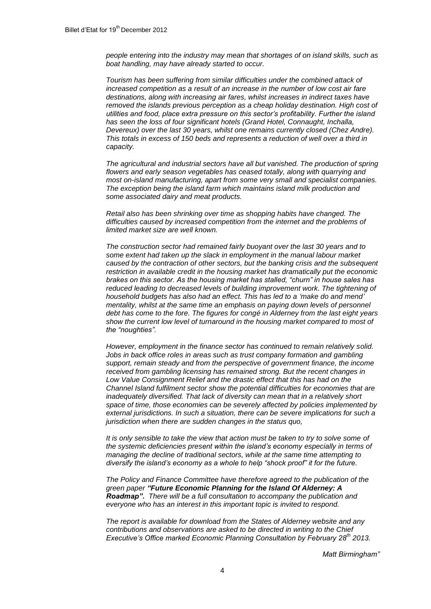*people entering into the industry may mean that shortages of on island skills, such as boat handling, may have already started to occur.*

*Tourism has been suffering from similar difficulties under the combined attack of increased competition as a result of an increase in the number of low cost air fare destinations, along with increasing air fares, whilst increases in indirect taxes have removed the islands previous perception as a cheap holiday destination. High cost of utilities and food, place extra pressure on this sector"s profitability. Further the island has seen the loss of four significant hotels (Grand Hotel, Connaught, Inchalla, Devereux) over the last 30 years, whilst one remains currently closed (Chez Andre). This totals in excess of 150 beds and represents a reduction of well over a third in capacity.*

*The agricultural and industrial sectors have all but vanished. The production of spring flowers and early season vegetables has ceased totally, along with quarrying and most on-island manufacturing, apart from some very small and specialist companies. The exception being the island farm which maintains island milk production and some associated dairy and meat products.* 

*Retail also has been shrinking over time as shopping habits have changed. The difficulties caused by increased competition from the internet and the problems of limited market size are well known.*

*The construction sector had remained fairly buoyant over the last 30 years and to some extent had taken up the slack in employment in the manual labour market caused by the contraction of other sectors, but the banking crisis and the subsequent restriction in available credit in the housing market has dramatically put the economic brakes on this sector. As the housing market has stalled, "churn" in house sales has*  reduced leading to decreased levels of building improvement work. The tightening of *household budgets has also had an effect. This has led to a "make do and mend" mentality, whilst at the same time an emphasis on paying down levels of personnel debt has come to the fore. The figures for congé in Alderney from the last eight years show the current low level of turnaround in the housing market compared to most of the "noughties".* 

*However, employment in the finance sector has continued to remain relatively solid. Jobs in back office roles in areas such as trust company formation and gambling support, remain steady and from the perspective of government finance, the income received from gambling licensing has remained strong. But the recent changes in Low Value Consignment Relief and the drastic effect that this has had on the Channel Island fulfilment sector show the potential difficulties for economies that are inadequately diversified. That lack of diversity can mean that in a relatively short space of time, those economies can be severely affected by policies implemented by external jurisdictions. In such a situation, there can be severe implications for such a jurisdiction when there are sudden changes in the status quo,*

*It is only sensible to take the view that action must be taken to try to solve some of the systemic deficiencies present within the island"s economy especially in terms of managing the decline of traditional sectors, while at the same time attempting to diversify the island"s economy as a whole to help "shock proof" it for the future.*

*The Policy and Finance Committee have therefore agreed to the publication of the green paper "Future Economic Planning for the Island Of Alderney: A Roadmap". There will be a full consultation to accompany the publication and everyone who has an interest in this important topic is invited to respond.*

*The report is available for download from the States of Alderney website and any contributions and observations are asked to be directed in writing to the Chief Executive"s Office marked Economic Planning Consultation by February 28th 2013.*

*Matt Birmingham"*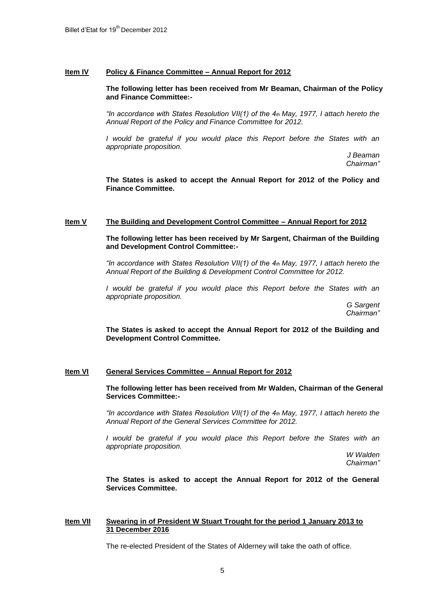## **Item IV Policy & Finance Committee – Annual Report for 2012**

#### **The following letter has been received from Mr Beaman, Chairman of the Policy and Finance Committee:-**

*"In accordance with States Resolution VII(1) of the 4th May, 1977, I attach hereto the Annual Report of the Policy and Finance Committee for 2012.*

*I would be grateful if you would place this Report before the States with an appropriate proposition.*

> *J Beaman Chairman"*

**The States is asked to accept the Annual Report for 2012 of the Policy and Finance Committee.**

#### **Item V The Building and Development Control Committee – Annual Report for 2012**

**The following letter has been received by Mr Sargent, Chairman of the Building and Development Control Committee:-**

*"In accordance with States Resolution VII(1) of the 4th May, 1977, I attach hereto the Annual Report of the Building & Development Control Committee for 2012.*

*I* would be grateful if you would place this Report before the States with an *appropriate proposition.*

> *G Sargent Chairman"*

**The States is asked to accept the Annual Report for 2012 of the Building and Development Control Committee.**

#### **Item VI General Services Committee – Annual Report for 2012**

**The following letter has been received from Mr Walden, Chairman of the General Services Committee:-**

*"In accordance with States Resolution VII(1) of the 4th May, 1977, I attach hereto the Annual Report of the General Services Committee for 2012.*

*I* would be grateful if you would place this Report before the States with an *appropriate proposition.*

> *W Walden Chairman"*

**The States is asked to accept the Annual Report for 2012 of the General Services Committee.**

#### **Item VII Swearing in of President W Stuart Trought for the period 1 January 2013 to 31 December 2016**

The re-elected President of the States of Alderney will take the oath of office.